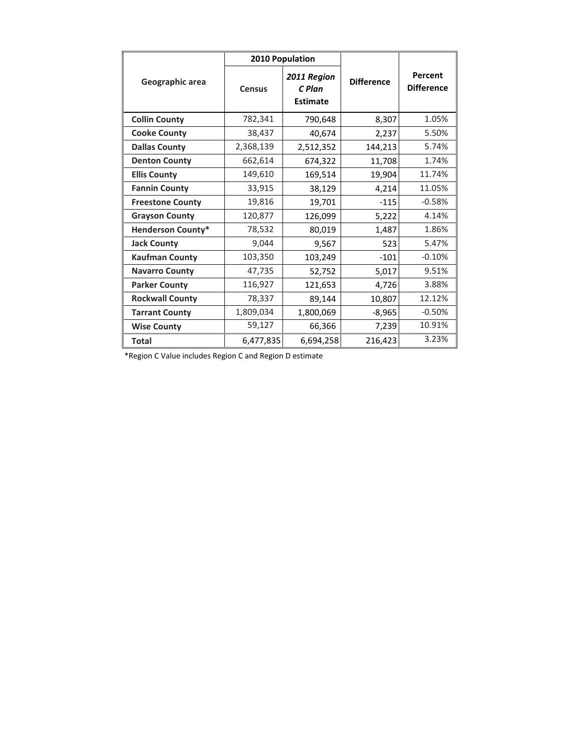| Geographic area          | 2010 Population |                                          |                   |                              |
|--------------------------|-----------------|------------------------------------------|-------------------|------------------------------|
|                          | <b>Census</b>   | 2011 Region<br>C Plan<br><b>Estimate</b> | <b>Difference</b> | Percent<br><b>Difference</b> |
| <b>Collin County</b>     | 782,341         | 790,648                                  | 8,307             | 1.05%                        |
| <b>Cooke County</b>      | 38,437          | 40,674                                   | 2,237             | 5.50%                        |
| <b>Dallas County</b>     | 2,368,139       | 2,512,352                                | 144,213           | 5.74%                        |
| <b>Denton County</b>     | 662,614         | 674,322                                  | 11,708            | 1.74%                        |
| <b>Ellis County</b>      | 149,610         | 169,514                                  | 19,904            | 11.74%                       |
| <b>Fannin County</b>     | 33,915          | 38,129                                   | 4,214             | 11.05%                       |
| <b>Freestone County</b>  | 19,816          | 19,701                                   | $-115$            | $-0.58%$                     |
| <b>Grayson County</b>    | 120,877         | 126,099                                  | 5,222             | 4.14%                        |
| <b>Henderson County*</b> | 78,532          | 80,019                                   | 1,487             | 1.86%                        |
| <b>Jack County</b>       | 9,044           | 9,567                                    | 523               | 5.47%                        |
| <b>Kaufman County</b>    | 103,350         | 103,249                                  | $-101$            | $-0.10%$                     |
| <b>Navarro County</b>    | 47,735          | 52,752                                   | 5,017             | 9.51%                        |
| <b>Parker County</b>     | 116,927         | 121,653                                  | 4,726             | 3.88%                        |
| <b>Rockwall County</b>   | 78,337          | 89,144                                   | 10,807            | 12.12%                       |
| <b>Tarrant County</b>    | 1,809,034       | 1,800,069                                | $-8,965$          | $-0.50%$                     |
| <b>Wise County</b>       | 59,127          | 66,366                                   | 7,239             | 10.91%                       |
| <b>Total</b>             | 6,477,835       | 6,694,258                                | 216,423           | 3.23%                        |

\*Region C Value includes Region C and Region D estimate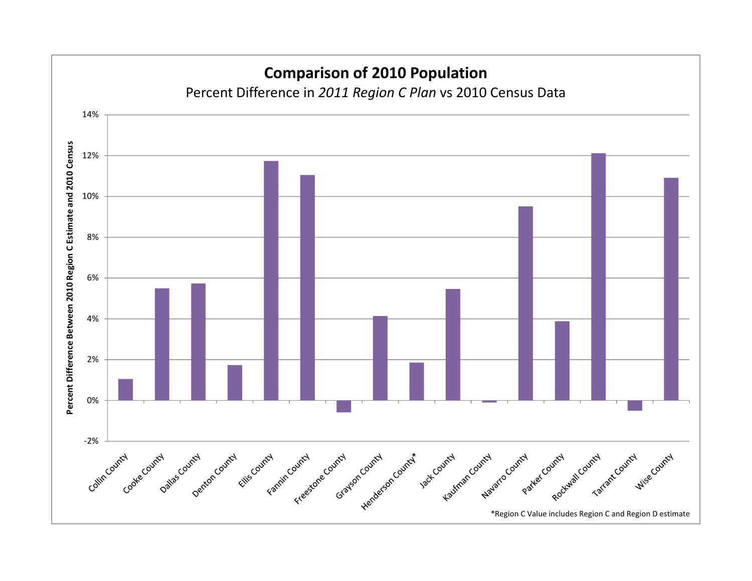